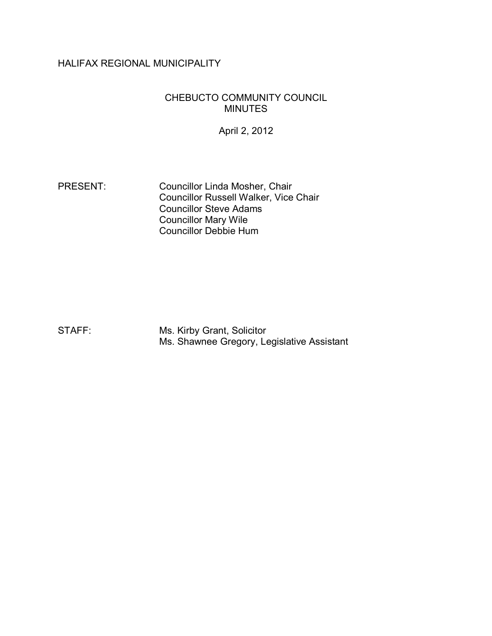# HALIFAX REGIONAL MUNICIPALITY

#### CHEBUCTO COMMUNITY COUNCIL MINUTES

April 2, 2012

PRESENT: Councillor Linda Mosher, Chair Councillor Russell Walker, Vice Chair Councillor Steve Adams Councillor Mary Wile Councillor Debbie Hum

STAFF: Ms. Kirby Grant, Solicitor Ms. Shawnee Gregory, Legislative Assistant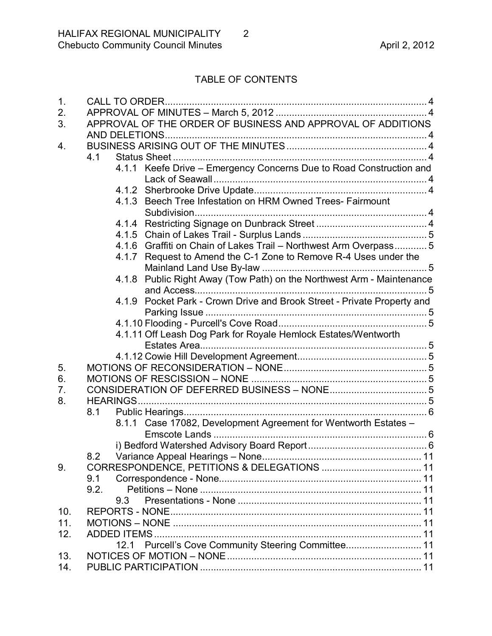# TABLE OF CONTENTS

| 1.  |                                                                          |
|-----|--------------------------------------------------------------------------|
| 2.  |                                                                          |
| 3.  | APPROVAL OF THE ORDER OF BUSINESS AND APPROVAL OF ADDITIONS              |
|     |                                                                          |
| 4.  |                                                                          |
|     | 4.1                                                                      |
|     | 4.1.1 Keefe Drive - Emergency Concerns Due to Road Construction and      |
|     |                                                                          |
|     |                                                                          |
|     | 4.1.3 Beech Tree Infestation on HRM Owned Trees- Fairmount               |
|     |                                                                          |
|     |                                                                          |
|     |                                                                          |
|     | 4.1.6 Graffiti on Chain of Lakes Trail - Northwest Arm Overpass 5        |
|     | Request to Amend the C-1 Zone to Remove R-4 Uses under the<br>4.1.7      |
|     |                                                                          |
|     | Public Right Away (Tow Path) on the Northwest Arm - Maintenance<br>4.1.8 |
|     |                                                                          |
|     | 4.1.9 Pocket Park - Crown Drive and Brook Street - Private Property and  |
|     |                                                                          |
|     |                                                                          |
|     | 4.1.11 Off Leash Dog Park for Royale Hemlock Estates/Wentworth           |
|     |                                                                          |
|     |                                                                          |
| 5.  |                                                                          |
| 6.  |                                                                          |
| 7.  |                                                                          |
| 8.  |                                                                          |
|     | 8.1                                                                      |
|     | 8.1.1 Case 17082, Development Agreement for Wentworth Estates -          |
|     |                                                                          |
|     | 8.2                                                                      |
| 9.  |                                                                          |
|     | 9.1                                                                      |
|     | 9.2.                                                                     |
|     | 9.3                                                                      |
| 10. |                                                                          |
| 11. |                                                                          |
| 12. |                                                                          |
|     | Purcell's Cove Community Steering Committee 11<br>12.1                   |
| 13. |                                                                          |
| 14. |                                                                          |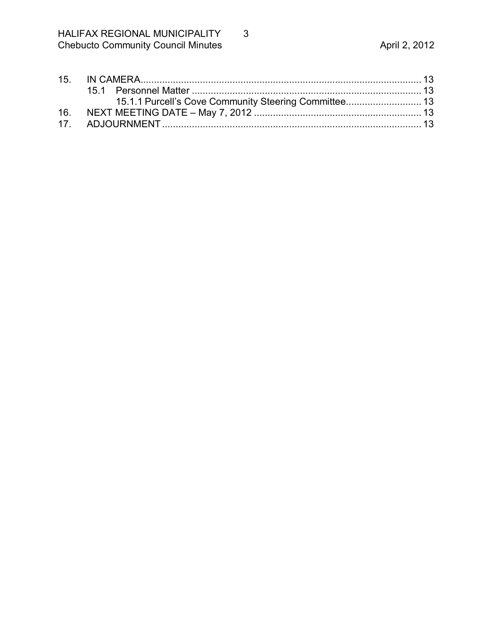| 15.1.1 Purcell's Cove Community Steering Committee 13 |  |
|-------------------------------------------------------|--|
|                                                       |  |
|                                                       |  |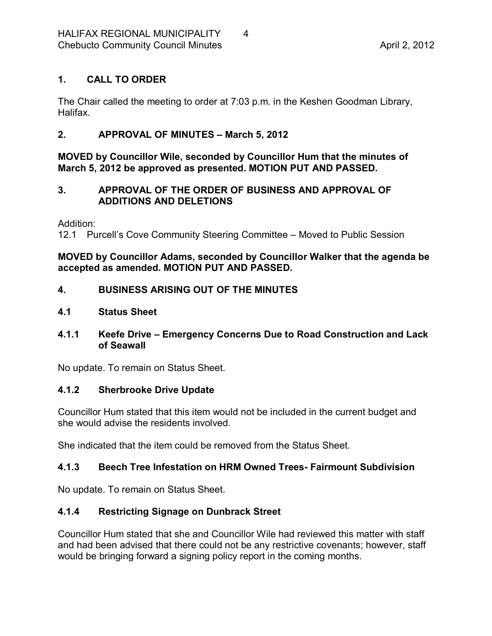# <span id="page-3-0"></span>**1. CALL TO ORDER**

The Chair called the meeting to order at 7:03 p.m. in the Keshen Goodman Library, Halifax.

# <span id="page-3-1"></span>**2. APPROVAL OF MINUTES – March 5, 2012**

**MOVED by Councillor Wile, seconded by Councillor Hum that the minutes of March 5, 2012 be approved as presented. MOTION PUT AND PASSED.** 

## <span id="page-3-2"></span>**3. APPROVAL OF THE ORDER OF BUSINESS AND APPROVAL OF ADDITIONS AND DELETIONS**

Addition:

12.1 Purcell's Cove Community Steering Committee – Moved to Public Session

#### **MOVED by Councillor Adams, seconded by Councillor Walker that the agenda be accepted as amended. MOTION PUT AND PASSED.**

## <span id="page-3-3"></span>**4. BUSINESS ARISING OUT OF THE MINUTES**

#### <span id="page-3-4"></span>**4.1 Status Sheet**

## <span id="page-3-5"></span>**4.1.1 Keefe Drive – Emergency Concerns Due to Road Construction and Lack of Seawall**

No update. To remain on Status Sheet.

## <span id="page-3-6"></span>**4.1.2 Sherbrooke Drive Update**

Councillor Hum stated that this item would not be included in the current budget and she would advise the residents involved.

She indicated that the item could be removed from the Status Sheet.

## <span id="page-3-7"></span>**4.1.3 Beech Tree Infestation on HRM Owned Trees Fairmount Subdivision**

No update. To remain on Status Sheet.

# <span id="page-3-8"></span>**4.1.4 Restricting Signage on Dunbrack Street**

Councillor Hum stated that she and Councillor Wile had reviewed this matter with staff and had been advised that there could not be any restrictive covenants; however, staff would be bringing forward a signing policy report in the coming months.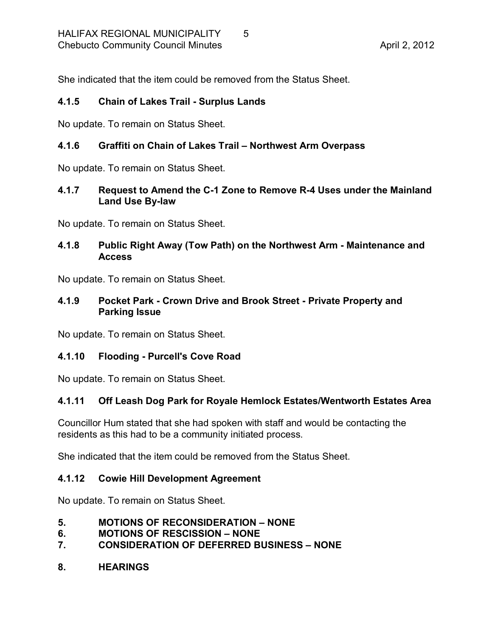She indicated that the item could be removed from the Status Sheet.

### <span id="page-4-0"></span>**4.1.5 Chain of Lakes Trail Surplus Lands**

No update. To remain on Status Sheet.

### <span id="page-4-1"></span>**4.1.6 Graffiti on Chain of Lakes Trail – Northwest Arm Overpass**

No update. To remain on Status Sheet.

#### <span id="page-4-2"></span>**4.1.7 Request to Amend the C1 Zone to Remove R4 Uses under the Mainland Land Use By-law**

No update. To remain on Status Sheet.

### <span id="page-4-3"></span>**4.1.8 Public Right Away (Tow Path) on the Northwest Arm Maintenance and Access**

No update. To remain on Status Sheet.

#### <span id="page-4-4"></span>**4.1.9 Pocket Park Crown Drive and Brook Street Private Property and Parking Issue**

No update. To remain on Status Sheet.

## <span id="page-4-5"></span>**4.1.10 Flooding Purcell's Cove Road**

No update. To remain on Status Sheet.

## <span id="page-4-6"></span>**4.1.11 Off Leash Dog Park for Royale Hemlock Estates/Wentworth Estates Area**

Councillor Hum stated that she had spoken with staff and would be contacting the residents as this had to be a community initiated process.

She indicated that the item could be removed from the Status Sheet.

#### <span id="page-4-7"></span>**4.1.12 Cowie Hill Development Agreement**

No update. To remain on Status Sheet.

- <span id="page-4-8"></span>**5. MOTIONS OF RECONSIDERATION – NONE**
- <span id="page-4-9"></span>**6. MOTIONS OF RESCISSION – NONE**
- <span id="page-4-10"></span>**7. CONSIDERATION OF DEFERRED BUSINESS – NONE**

#### <span id="page-4-11"></span>**8. HEARINGS**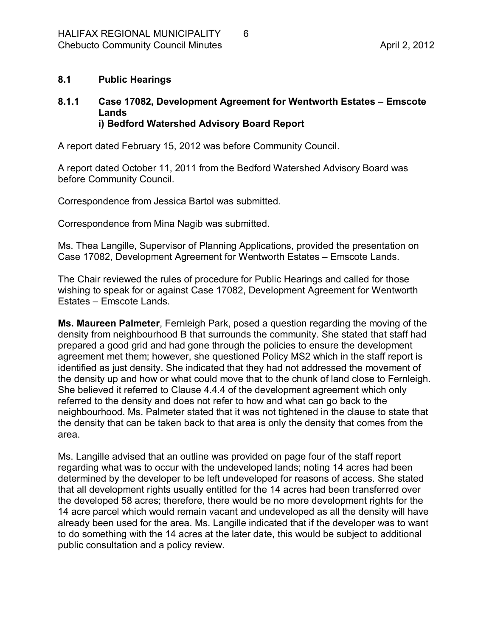#### <span id="page-5-0"></span>**8.1 Public Hearings**

#### <span id="page-5-2"></span><span id="page-5-1"></span>**8.1.1 Case 17082, Development Agreement for Wentworth Estates – Emscote Lands i) Bedford Watershed Advisory Board Report**

A report dated February 15, 2012 was before Community Council.

A report dated October 11, 2011 from the Bedford Watershed Advisory Board was before Community Council.

Correspondence from Jessica Bartol was submitted.

Correspondence from Mina Nagib was submitted.

Ms. Thea Langille, Supervisor of Planning Applications, provided the presentation on Case 17082, Development Agreement for Wentworth Estates – Emscote Lands.

The Chair reviewed the rules of procedure for Public Hearings and called for those wishing to speak for or against Case 17082, Development Agreement for Wentworth Estates – Emscote Lands.

**Ms. Maureen Palmeter**, Fernleigh Park, posed a question regarding the moving of the density from neighbourhood B that surrounds the community. She stated that staff had prepared a good grid and had gone through the policies to ensure the development agreement met them; however, she questioned Policy MS2 which in the staff report is identified as just density. She indicated that they had not addressed the movement of the density up and how or what could move that to the chunk of land close to Fernleigh. She believed it referred to Clause 4.4.4 of the development agreement which only referred to the density and does not refer to how and what can go back to the neighbourhood. Ms. Palmeter stated that it was not tightened in the clause to state that the density that can be taken back to that area is only the density that comes from the area.

Ms. Langille advised that an outline was provided on page four of the staff report regarding what was to occur with the undeveloped lands; noting 14 acres had been determined by the developer to be left undeveloped for reasons of access. She stated that all development rights usually entitled for the 14 acres had been transferred over the developed 58 acres; therefore, there would be no more development rights for the 14 acre parcel which would remain vacant and undeveloped as all the density will have already been used for the area. Ms. Langille indicated that if the developer was to want to do something with the 14 acres at the later date, this would be subject to additional public consultation and a policy review.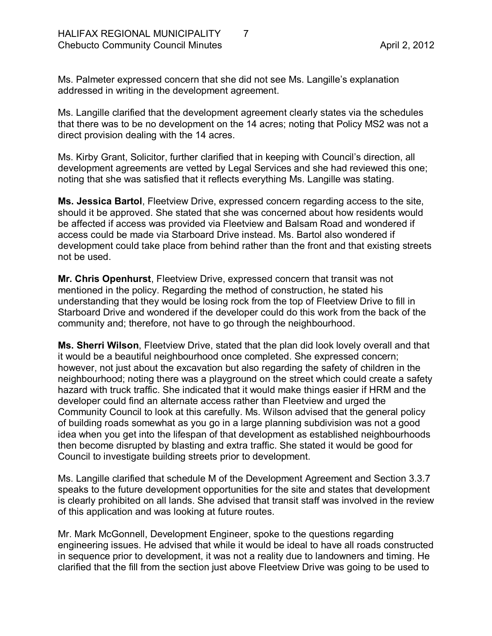Ms. Palmeter expressed concern that she did not see Ms. Langille's explanation addressed in writing in the development agreement.

Ms. Langille clarified that the development agreement clearly states via the schedules that there was to be no development on the 14 acres; noting that Policy MS2 was not a direct provision dealing with the 14 acres.

Ms. Kirby Grant, Solicitor, further clarified that in keeping with Council's direction, all development agreements are vetted by Legal Services and she had reviewed this one; noting that she was satisfied that it reflects everything Ms. Langille was stating.

**Ms. Jessica Bartol**, Fleetview Drive, expressed concern regarding access to the site, should it be approved. She stated that she was concerned about how residents would be affected if access was provided via Fleetview and Balsam Road and wondered if access could be made via Starboard Drive instead. Ms. Bartol also wondered if development could take place from behind rather than the front and that existing streets not be used.

**Mr. Chris Openhurst**, Fleetview Drive, expressed concern that transit was not mentioned in the policy. Regarding the method of construction, he stated his understanding that they would be losing rock from the top of Fleetview Drive to fill in Starboard Drive and wondered if the developer could do this work from the back of the community and; therefore, not have to go through the neighbourhood.

**Ms. Sherri Wilson**, Fleetview Drive, stated that the plan did look lovely overall and that it would be a beautiful neighbourhood once completed. She expressed concern; however, not just about the excavation but also regarding the safety of children in the neighbourhood; noting there was a playground on the street which could create a safety hazard with truck traffic. She indicated that it would make things easier if HRM and the developer could find an alternate access rather than Fleetview and urged the Community Council to look at this carefully. Ms. Wilson advised that the general policy of building roads somewhat as you go in a large planning subdivision was not a good idea when you get into the lifespan of that development as established neighbourhoods then become disrupted by blasting and extra traffic. She stated it would be good for Council to investigate building streets prior to development.

Ms. Langille clarified that schedule M of the Development Agreement and Section 3.3.7 speaks to the future development opportunities for the site and states that development is clearly prohibited on all lands. She advised that transit staff was involved in the review of this application and was looking at future routes.

Mr. Mark McGonnell, Development Engineer, spoke to the questions regarding engineering issues. He advised that while it would be ideal to have all roads constructed in sequence prior to development, it was not a reality due to landowners and timing. He clarified that the fill from the section just above Fleetview Drive was going to be used to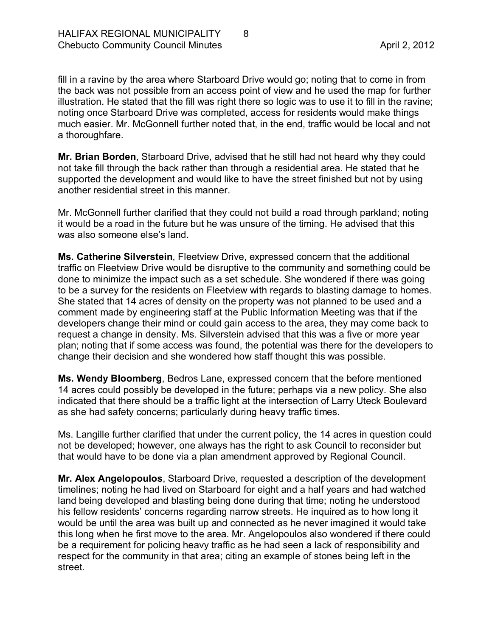fill in a ravine by the area where Starboard Drive would go; noting that to come in from the back was not possible from an access point of view and he used the map for further illustration. He stated that the fill was right there so logic was to use it to fill in the ravine; noting once Starboard Drive was completed, access for residents would make things much easier. Mr. McGonnell further noted that, in the end, traffic would be local and not a thoroughfare.

**Mr. Brian Borden**, Starboard Drive, advised that he still had not heard why they could not take fill through the back rather than through a residential area. He stated that he supported the development and would like to have the street finished but not by using another residential street in this manner.

Mr. McGonnell further clarified that they could not build a road through parkland; noting it would be a road in the future but he was unsure of the timing. He advised that this was also someone else's land.

**Ms. Catherine Silverstein**, Fleetview Drive, expressed concern that the additional traffic on Fleetview Drive would be disruptive to the community and something could be done to minimize the impact such as a set schedule. She wondered if there was going to be a survey for the residents on Fleetview with regards to blasting damage to homes. She stated that 14 acres of density on the property was not planned to be used and a comment made by engineering staff at the Public Information Meeting was that if the developers change their mind or could gain access to the area, they may come back to request a change in density. Ms. Silverstein advised that this was a five or more year plan; noting that if some access was found, the potential was there for the developers to change their decision and she wondered how staff thought this was possible.

**Ms. Wendy Bloomberg**, Bedros Lane, expressed concern that the before mentioned 14 acres could possibly be developed in the future; perhaps via a new policy. She also indicated that there should be a traffic light at the intersection of Larry Uteck Boulevard as she had safety concerns; particularly during heavy traffic times.

Ms. Langille further clarified that under the current policy, the 14 acres in question could not be developed; however, one always has the right to ask Council to reconsider but that would have to be done via a plan amendment approved by Regional Council.

**Mr. Alex Angelopoulos**, Starboard Drive, requested a description of the development timelines; noting he had lived on Starboard for eight and a half years and had watched land being developed and blasting being done during that time; noting he understood his fellow residents' concerns regarding narrow streets. He inquired as to how long it would be until the area was built up and connected as he never imagined it would take this long when he first move to the area. Mr. Angelopoulos also wondered if there could be a requirement for policing heavy traffic as he had seen a lack of responsibility and respect for the community in that area; citing an example of stones being left in the street.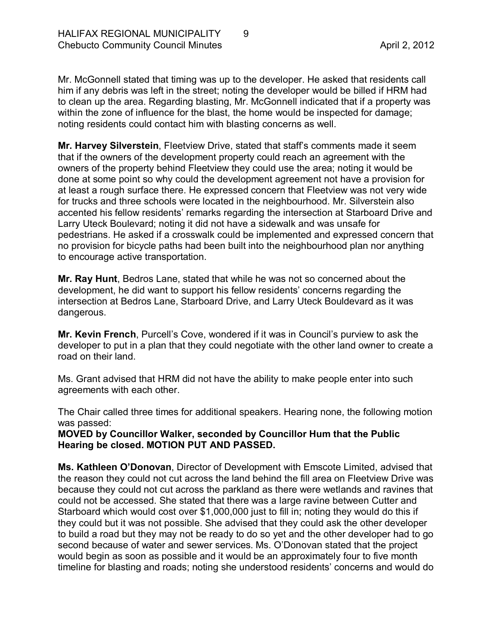Mr. McGonnell stated that timing was up to the developer. He asked that residents call him if any debris was left in the street; noting the developer would be billed if HRM had to clean up the area. Regarding blasting, Mr. McGonnell indicated that if a property was within the zone of influence for the blast, the home would be inspected for damage; noting residents could contact him with blasting concerns as well.

**Mr. Harvey Silverstein**, Fleetview Drive, stated that staff's comments made it seem that if the owners of the development property could reach an agreement with the owners of the property behind Fleetview they could use the area; noting it would be done at some point so why could the development agreement not have a provision for at least a rough surface there. He expressed concern that Fleetview was not very wide for trucks and three schools were located in the neighbourhood. Mr. Silverstein also accented his fellow residents' remarks regarding the intersection at Starboard Drive and Larry Uteck Boulevard; noting it did not have a sidewalk and was unsafe for pedestrians. He asked if a crosswalk could be implemented and expressed concern that no provision for bicycle paths had been built into the neighbourhood plan nor anything to encourage active transportation.

**Mr. Ray Hunt**, Bedros Lane, stated that while he was not so concerned about the development, he did want to support his fellow residents' concerns regarding the intersection at Bedros Lane, Starboard Drive, and Larry Uteck Bouldevard as it was dangerous.

**Mr. Kevin French**, Purcell's Cove, wondered if it was in Council's purview to ask the developer to put in a plan that they could negotiate with the other land owner to create a road on their land.

Ms. Grant advised that HRM did not have the ability to make people enter into such agreements with each other.

The Chair called three times for additional speakers. Hearing none, the following motion was passed:

**MOVED by Councillor Walker, seconded by Councillor Hum that the Public Hearing be closed. MOTION PUT AND PASSED.** 

**Ms. Kathleen O'Donovan**, Director of Development with Emscote Limited, advised that the reason they could not cut across the land behind the fill area on Fleetview Drive was because they could not cut across the parkland as there were wetlands and ravines that could not be accessed. She stated that there was a large ravine between Cutter and Starboard which would cost over \$1,000,000 just to fill in; noting they would do this if they could but it was not possible. She advised that they could ask the other developer to build a road but they may not be ready to do so yet and the other developer had to go second because of water and sewer services. Ms. O'Donovan stated that the project would begin as soon as possible and it would be an approximately four to five month timeline for blasting and roads; noting she understood residents' concerns and would do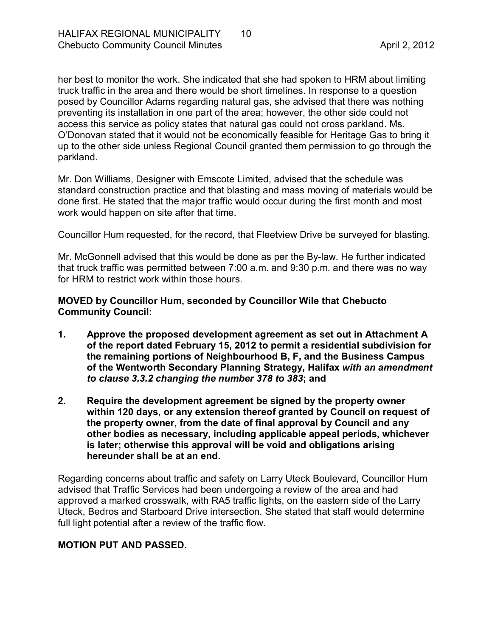her best to monitor the work. She indicated that she had spoken to HRM about limiting truck traffic in the area and there would be short timelines. In response to a question posed by Councillor Adams regarding natural gas, she advised that there was nothing preventing its installation in one part of the area; however, the other side could not access this service as policy states that natural gas could not cross parkland. Ms. O'Donovan stated that it would not be economically feasible for Heritage Gas to bring it up to the other side unless Regional Council granted them permission to go through the parkland.

Mr. Don Williams, Designer with Emscote Limited, advised that the schedule was standard construction practice and that blasting and mass moving of materials would be done first. He stated that the major traffic would occur during the first month and most work would happen on site after that time.

Councillor Hum requested, for the record, that Fleetview Drive be surveyed for blasting.

Mr. McGonnell advised that this would be done as per the By-law. He further indicated that truck traffic was permitted between 7:00 a.m. and 9:30 p.m. and there was no way for HRM to restrict work within those hours.

#### **MOVED by Councillor Hum, seconded by Councillor Wile that Chebucto Community Council:**

- **1. Approve the proposed development agreement as set out in Attachment A of the report dated February 15, 2012 to permit a residential subdivision for the remaining portions of Neighbourhood B, F, and the Business Campus of the Wentworth Secondary Planning Strategy, Halifax** *with an amendment to clause 3.3.2 changing the number 378 to 383***; and**
- **2. Require the development agreement be signed by the property owner within 120 days, or any extension thereof granted by Council on request of the property owner, from the date of final approval by Council and any other bodies as necessary, including applicable appeal periods, whichever is later; otherwise this approval will be void and obligations arising hereunder shall be at an end.**

Regarding concerns about traffic and safety on Larry Uteck Boulevard, Councillor Hum advised that Traffic Services had been undergoing a review of the area and had approved a marked crosswalk, with RA5 traffic lights, on the eastern side of the Larry Uteck, Bedros and Starboard Drive intersection. She stated that staff would determine full light potential after a review of the traffic flow.

## **MOTION PUT AND PASSED.**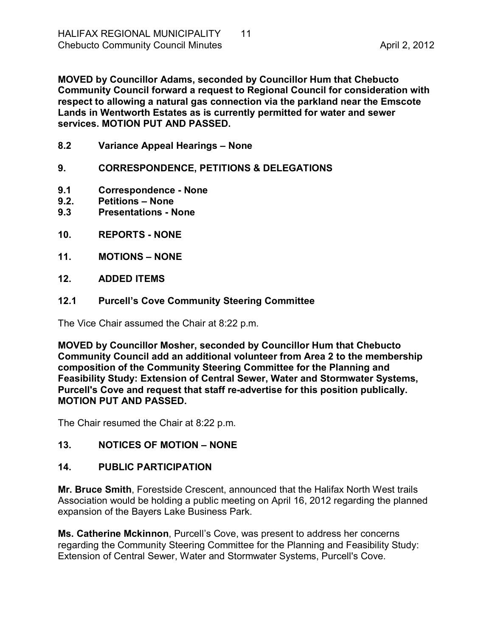**MOVED by Councillor Adams, seconded by Councillor Hum that Chebucto Community Council forward a request to Regional Council for consideration with respect to allowing a natural gas connection via the parkland near the Emscote Lands in Wentworth Estates as is currently permitted for water and sewer services. MOTION PUT AND PASSED.** 

- <span id="page-10-0"></span>**8.2 Variance Appeal Hearings – None**
- <span id="page-10-1"></span>**9. CORRESPONDENCE, PETITIONS & DELEGATIONS**
- <span id="page-10-2"></span>**9.1 Correspondence None**
- <span id="page-10-3"></span>**9.2. Petitions – None**
- <span id="page-10-4"></span>**Presentations - None**
- <span id="page-10-5"></span>**10. REPORTS NONE**
- <span id="page-10-6"></span>**11. MOTIONS – NONE**
- <span id="page-10-7"></span>**12. ADDED ITEMS**
- <span id="page-10-8"></span>**12.1 Purcell's Cove Community Steering Committee**

The Vice Chair assumed the Chair at 8:22 p.m.

**MOVED by Councillor Mosher, seconded by Councillor Hum that Chebucto Community Council add an additional volunteer from Area 2 to the membership composition of the Community Steering Committee for the Planning and Feasibility Study: Extension of Central Sewer, Water and Stormwater Systems,**  Purcell's Cove and request that staff re-advertise for this position publically. **MOTION PUT AND PASSED.**

The Chair resumed the Chair at 8:22 p.m.

## <span id="page-10-9"></span>**13. NOTICES OF MOTION – NONE**

## <span id="page-10-10"></span>**14. PUBLIC PARTICIPATION**

**Mr. Bruce Smith**, Forestside Crescent, announced that the Halifax North West trails Association would be holding a public meeting on April 16, 2012 regarding the planned expansion of the Bayers Lake Business Park.

**Ms. Catherine Mckinnon**, Purcell's Cove, was present to address her concerns regarding the Community Steering Committee for the Planning and Feasibility Study: Extension of Central Sewer, Water and Stormwater Systems, Purcell's Cove.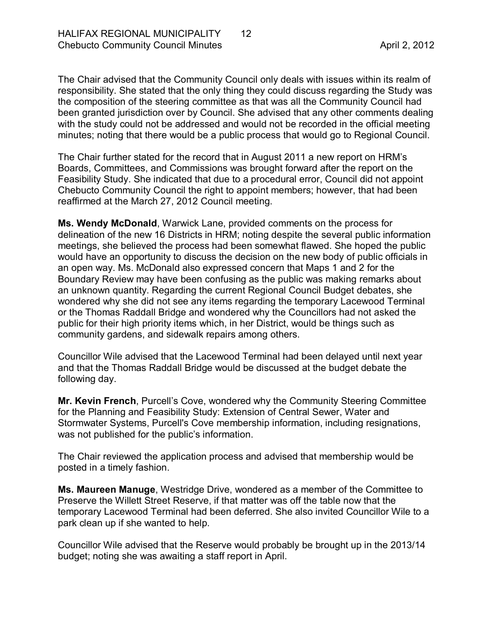The Chair advised that the Community Council only deals with issues within its realm of responsibility. She stated that the only thing they could discuss regarding the Study was the composition of the steering committee as that was all the Community Council had been granted jurisdiction over by Council. She advised that any other comments dealing with the study could not be addressed and would not be recorded in the official meeting minutes; noting that there would be a public process that would go to Regional Council.

The Chair further stated for the record that in August 2011 a new report on HRM's Boards, Committees, and Commissions was brought forward after the report on the Feasibility Study. She indicated that due to a procedural error, Council did not appoint Chebucto Community Council the right to appoint members; however, that had been reaffirmed at the March 27, 2012 Council meeting.

**Ms. Wendy McDonald**, Warwick Lane, provided comments on the process for delineation of the new 16 Districts in HRM; noting despite the several public information meetings, she believed the process had been somewhat flawed. She hoped the public would have an opportunity to discuss the decision on the new body of public officials in an open way. Ms. McDonald also expressed concern that Maps 1 and 2 for the Boundary Review may have been confusing as the public was making remarks about an unknown quantity. Regarding the current Regional Council Budget debates, she wondered why she did not see any items regarding the temporary Lacewood Terminal or the Thomas Raddall Bridge and wondered why the Councillors had not asked the public for their high priority items which, in her District, would be things such as community gardens, and sidewalk repairs among others.

Councillor Wile advised that the Lacewood Terminal had been delayed until next year and that the Thomas Raddall Bridge would be discussed at the budget debate the following day.

**Mr. Kevin French**, Purcell's Cove, wondered why the Community Steering Committee for the Planning and Feasibility Study: Extension of Central Sewer, Water and Stormwater Systems, Purcell's Cove membership information, including resignations, was not published for the public's information.

The Chair reviewed the application process and advised that membership would be posted in a timely fashion.

**Ms. Maureen Manuge**, Westridge Drive, wondered as a member of the Committee to Preserve the Willett Street Reserve, if that matter was off the table now that the temporary Lacewood Terminal had been deferred. She also invited Councillor Wile to a park clean up if she wanted to help.

Councillor Wile advised that the Reserve would probably be brought up in the 2013/14 budget; noting she was awaiting a staff report in April.